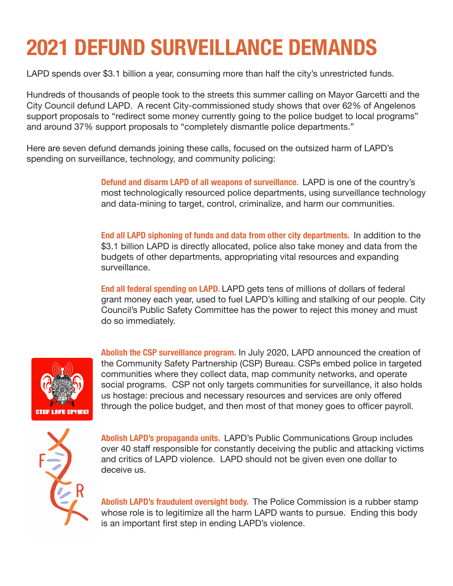## **2021 DEFUND SURVEILLANCE DEMANDS**

LAPD spends over \$3.1 billion a year, consuming more than half the city's unrestricted funds.

Hundreds of thousands of people took to the streets this summer calling on Mayor Garcetti and the City Council defund LAPD. A recent City-commissioned study shows that over 62% of Angelenos support proposals to "redirect some money currently going to the police budget to local programs" and around 37% support proposals to "completely dismantle police departments."

Here are seven defund demands joining these calls, focused on the outsized harm of LAPD's spending on surveillance, technology, and community policing:

> **Defund and disarm LAPD of all weapons of surveillance.** LAPD is one of the country's most technologically resourced police departments, using surveillance technology and data-mining to target, control, criminalize, and harm our communities.

**End all LAPD siphoning of funds and data from other city departments.** In addition to the \$3.1 billion LAPD is directly allocated, police also take money and data from the budgets of other departments, appropriating vital resources and expanding surveillance.

**End all federal spending on LAPD.** LAPD gets tens of millions of dollars of federal grant money each year, used to fuel LAPD's killing and stalking of our people. City Council's Public Safety Committee has the power to reject this money and must do so immediately.



**Abolish the CSP surveillance program.** In July 2020, LAPD announced the creation of the Community Safety Partnership (CSP) Bureau. CSPs embed police in targeted communities where they collect data, map community networks, and operate social programs. CSP not only targets communities for surveillance, it also holds us hostage: precious and necessary resources and services are only offered through the police budget, and then most of that money goes to officer payroll.



**Abolish LAPD's propaganda units.** LAPD's Public Communications Group includes over 40 staff responsible for constantly deceiving the public and attacking victims and critics of LAPD violence. LAPD should not be given even one dollar to deceive us.

**Abolish LAPD's fraudulent oversight body.** The Police Commission is a rubber stamp whose role is to legitimize all the harm LAPD wants to pursue. Ending this body is an important first step in ending LAPD's violence.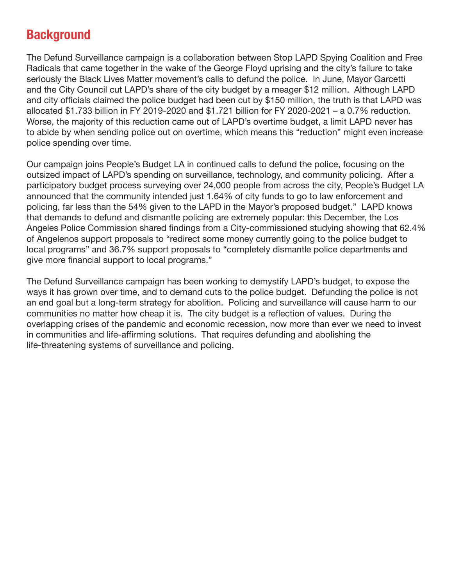## **Background**

The Defund Surveillance campaign is a collaboration between Stop LAPD Spying Coalition and Free Radicals that came together in the wake of the George Floyd uprising and the city's failure to take seriously the Black Lives Matter movement's calls to defund the police. In June, Mayor Garcetti and the City Council cut LAPD's share of the city budget by a meager \$12 million. Although LAPD and city officials claimed the police budget had been cut by \$150 million, the truth is that LAPD was allocated \$1.733 billion in FY 2019-2020 and \$1.721 billion for FY 2020-2021 – a 0.7% reduction. Worse, the majority of this reduction came out of LAPD's overtime budget, a limit LAPD never has to abide by when sending police out on overtime, which means this "reduction" might even increase police spending over time.

Our campaign joins People's Budget LA in continued calls to defund the police, focusing on the outsized impact of LAPD's spending on surveillance, technology, and community policing. After a participatory budget process surveying over 24,000 people from across the city, People's Budget LA announced that the community intended just 1.64% of city funds to go to law enforcement and policing, far less than the 54% given to the LAPD in the Mayor's proposed budget." LAPD knows that demands to defund and dismantle policing are extremely popular: this December, the Los Angeles Police Commission shared findings from a City-commissioned studying showing that 62.4% of Angelenos support proposals to "redirect some money currently going to the police budget to local programs" and 36.7% support proposals to "completely dismantle police departments and give more financial support to local programs."

The Defund Surveillance campaign has been working to demystify LAPD's budget, to expose the ways it has grown over time, and to demand cuts to the police budget. Defunding the police is not an end goal but a long-term strategy for abolition. Policing and surveillance will cause harm to our communities no matter how cheap it is. The city budget is a reflection of values. During the overlapping crises of the pandemic and economic recession, now more than ever we need to invest in communities and life-affirming solutions. That requires defunding and abolishing the life-threatening systems of surveillance and policing.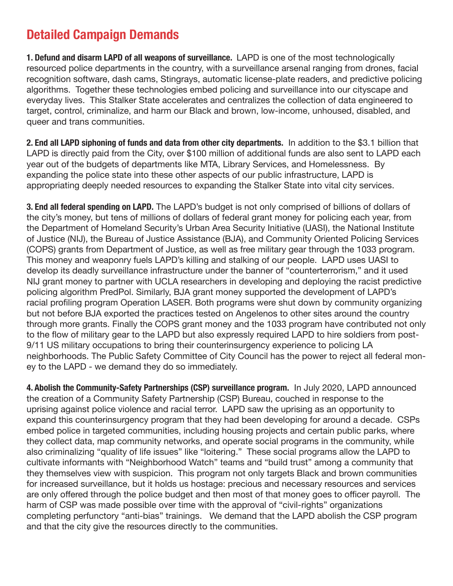## **Detailed Campaign Demands**

**1. Defund and disarm LAPD of all weapons of surveillance.** LAPD is one of the most technologically resourced police departments in the country, with a surveillance arsenal ranging from drones, facial recognition software, dash cams, Stingrays, automatic license-plate readers, and predictive policing algorithms. Together these technologies embed policing and surveillance into our cityscape and everyday lives. This Stalker State accelerates and centralizes the collection of data engineered to target, control, criminalize, and harm our Black and brown, low-income, unhoused, disabled, and queer and trans communities.

**2. End all LAPD siphoning of funds and data from other city departments.** In addition to the \$3.1 billion that LAPD is directly paid from the City, over \$100 million of additional funds are also sent to LAPD each year out of the budgets of departments like MTA, Library Services, and Homelessness. By expanding the police state into these other aspects of our public infrastructure, LAPD is appropriating deeply needed resources to expanding the Stalker State into vital city services.

**3. End all federal spending on LAPD.** The LAPD's budget is not only comprised of billions of dollars of the city's money, but tens of millions of dollars of federal grant money for policing each year, from the Department of Homeland Security's Urban Area Security Initiative (UASI), the National Institute of Justice (NIJ), the Bureau of Justice Assistance (BJA), and Community Oriented Policing Services (COPS) grants from Department of Justice, as well as free military gear through the 1033 program. This money and weaponry fuels LAPD's killing and stalking of our people. LAPD uses UASI to develop its deadly surveillance infrastructure under the banner of "counterterrorism," and it used NIJ grant money to partner with UCLA researchers in developing and deploying the racist predictive policing algorithm PredPol. Similarly, BJA grant money supported the development of LAPD's racial profiling program Operation LASER. Both programs were shut down by community organizing but not before BJA exported the practices tested on Angelenos to other sites around the country through more grants. Finally the COPS grant money and the 1033 program have contributed not only to the flow of military gear to the LAPD but also expressly required LAPD to hire soldiers from post-9/11 US military occupations to bring their counterinsurgency experience to policing LA neighborhoods. The Public Safety Committee of City Council has the power to reject all federal money to the LAPD - we demand they do so immediately.

**4. Abolish the Community-Safety Partnerships (CSP) surveillance program.** In July 2020, LAPD announced the creation of a Community Safety Partnership (CSP) Bureau, couched in response to the uprising against police violence and racial terror. LAPD saw the uprising as an opportunity to expand this counterinsurgency program that they had been developing for around a decade. CSPs embed police in targeted communities, including housing projects and certain public parks, where they collect data, map community networks, and operate social programs in the community, while also criminalizing "quality of life issues" like "loitering." These social programs allow the LAPD to cultivate informants with "Neighborhood Watch" teams and "build trust" among a community that they themselves view with suspicion. This program not only targets Black and brown communities for increased surveillance, but it holds us hostage: precious and necessary resources and services are only offered through the police budget and then most of that money goes to officer payroll. The harm of CSP was made possible over time with the approval of "civil-rights" organizations completing perfunctory "anti-bias" trainings. We demand that the LAPD abolish the CSP program and that the city give the resources directly to the communities.